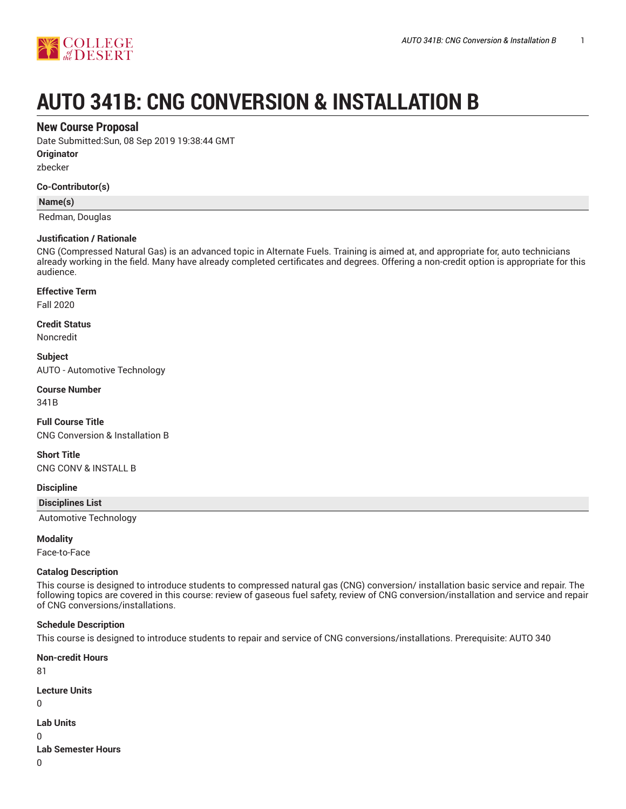

# **AUTO 341B: CNG CONVERSION & INSTALLATION B**

# **New Course Proposal**

Date Submitted:Sun, 08 Sep 2019 19:38:44 GMT

**Originator**

zbecker

### **Co-Contributor(s)**

**Name(s)**

Redman, Douglas

### **Justification / Rationale**

CNG (Compressed Natural Gas) is an advanced topic in Alternate Fuels. Training is aimed at, and appropriate for, auto technicians already working in the field. Many have already completed certificates and degrees. Offering a non-credit option is appropriate for this audience.

## **Effective Term**

Fall 2020

#### **Credit Status**

Noncredit

**Subject** AUTO - Automotive Technology

**Course Number**

341B

**Full Course Title** CNG Conversion & Installation B

**Short Title**

CNG CONV & INSTALL B

**Discipline**

**Disciplines List**

Automotive Technology

### **Modality**

Face-to-Face

### **Catalog Description**

This course is designed to introduce students to compressed natural gas (CNG) conversion/ installation basic service and repair. The following topics are covered in this course: review of gaseous fuel safety, review of CNG conversion/installation and service and repair of CNG conversions/installations.

### **Schedule Description**

This course is designed to introduce students to repair and service of CNG conversions/installations. Prerequisite: AUTO 340

**Non-credit Hours** 81 **Lecture Units** 0 **Lab Units** 0 **Lab Semester Hours** 0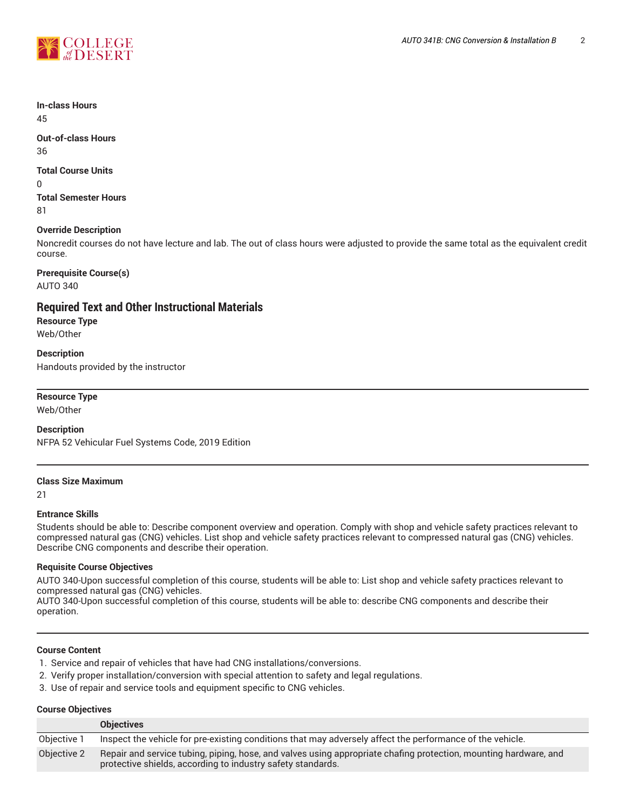

#### **In-class Hours** 45

**Out-of-class Hours** 36

# **Total Course Units**

0

**Total Semester Hours** 81

# **Override Description**

Noncredit courses do not have lecture and lab. The out of class hours were adjusted to provide the same total as the equivalent credit course.

# **Prerequisite Course(s)**

AUTO 340

# **Required Text and Other Instructional Materials**

**Resource Type** Web/Other

**Description** Handouts provided by the instructor

# **Resource Type**

Web/Other

# **Description**

NFPA 52 Vehicular Fuel Systems Code, 2019 Edition

### **Class Size Maximum**

21

# **Entrance Skills**

Students should be able to: Describe component overview and operation. Comply with shop and vehicle safety practices relevant to compressed natural gas (CNG) vehicles. List shop and vehicle safety practices relevant to compressed natural gas (CNG) vehicles. Describe CNG components and describe their operation.

# **Requisite Course Objectives**

AUTO 340-Upon successful completion of this course, students will be able to: List shop and vehicle safety practices relevant to compressed natural gas (CNG) vehicles.

AUTO 340-Upon successful completion of this course, students will be able to: describe CNG components and describe their operation.

## **Course Content**

- 1. Service and repair of vehicles that have had CNG installations/conversions.
- 2. Verify proper installation/conversion with special attention to safety and legal regulations.
- 3. Use of repair and service tools and equipment specific to CNG vehicles.

### **Course Objectives**

|             | <b>Objectives</b>                                                                                                                                                               |
|-------------|---------------------------------------------------------------------------------------------------------------------------------------------------------------------------------|
| Objective 1 | Inspect the vehicle for pre-existing conditions that may adversely affect the performance of the vehicle.                                                                       |
| Objective 2 | Repair and service tubing, piping, hose, and valves using appropriate chafing protection, mounting hardware, and<br>protective shields, according to industry safety standards. |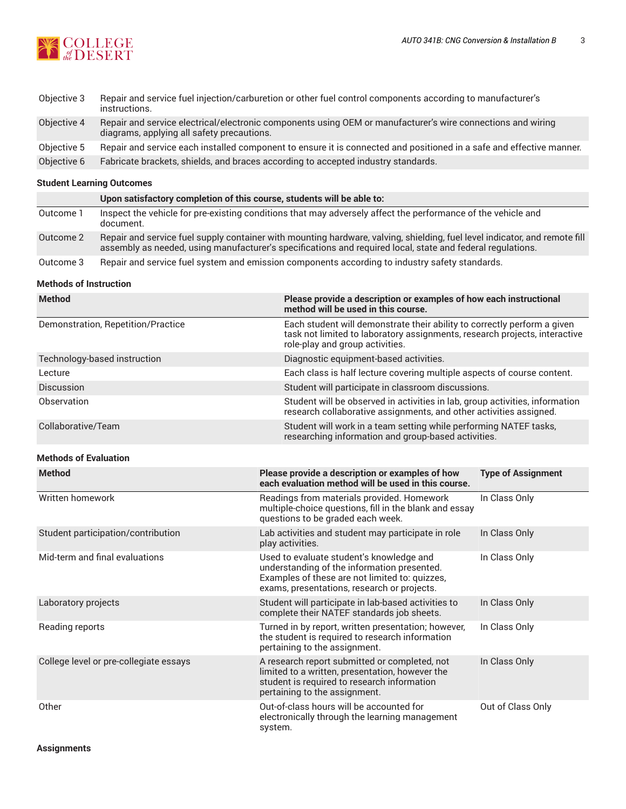

| Objective 3 | Repair and service fuel injection/carburetion or other fuel control components according to manufacturer's<br>instructions.                               |
|-------------|-----------------------------------------------------------------------------------------------------------------------------------------------------------|
| Objective 4 | Repair and service electrical/electronic components using OEM or manufacturer's wire connections and wiring<br>diagrams, applying all safety precautions. |
| Objective 5 | Repair and service each installed component to ensure it is connected and positioned in a safe and effective manner.                                      |
| Objective 6 | Fabricate brackets, shields, and braces according to accepted industry standards.                                                                         |

# **Student Learning Outcomes**

|           | Upon satisfactory completion of this course, students will be able to:                                                                                                                                                                   |
|-----------|------------------------------------------------------------------------------------------------------------------------------------------------------------------------------------------------------------------------------------------|
| Outcome 1 | Inspect the vehicle for pre-existing conditions that may adversely affect the performance of the vehicle and<br>document.                                                                                                                |
| Outcome 2 | Repair and service fuel supply container with mounting hardware, valving, shielding, fuel level indicator, and remote fill<br>assembly as needed, using manufacturer's specifications and required local, state and federal regulations. |
| Outcome 3 | Repair and service fuel system and emission components according to industry safety standards.                                                                                                                                           |

### **Methods of Instruction**

| <b>Method</b>                          | Please provide a description or examples of how each instructional<br>method will be used in this course.                                                                                 |                                                                         |  |  |
|----------------------------------------|-------------------------------------------------------------------------------------------------------------------------------------------------------------------------------------------|-------------------------------------------------------------------------|--|--|
| Demonstration, Repetition/Practice     | Each student will demonstrate their ability to correctly perform a given<br>task not limited to laboratory assignments, research projects, interactive<br>role-play and group activities. |                                                                         |  |  |
| Technology-based instruction           | Diagnostic equipment-based activities.                                                                                                                                                    |                                                                         |  |  |
| Lecture                                |                                                                                                                                                                                           | Each class is half lecture covering multiple aspects of course content. |  |  |
| <b>Discussion</b>                      |                                                                                                                                                                                           | Student will participate in classroom discussions.                      |  |  |
| Observation                            | Student will be observed in activities in lab, group activities, information<br>research collaborative assignments, and other activities assigned.                                        |                                                                         |  |  |
| Collaborative/Team                     | Student will work in a team setting while performing NATEF tasks,<br>researching information and group-based activities.                                                                  |                                                                         |  |  |
| <b>Methods of Evaluation</b>           |                                                                                                                                                                                           |                                                                         |  |  |
| <b>Method</b>                          | Please provide a description or examples of how<br>each evaluation method will be used in this course.                                                                                    | <b>Type of Assignment</b>                                               |  |  |
| Written homework                       | Readings from materials provided. Homework<br>multiple-choice questions, fill in the blank and essay<br>questions to be graded each week.                                                 | In Class Only                                                           |  |  |
| Student participation/contribution     | Lab activities and student may participate in role<br>play activities.                                                                                                                    | In Class Only                                                           |  |  |
| Mid-term and final evaluations         | Used to evaluate student's knowledge and<br>understanding of the information presented.<br>Examples of these are not limited to: quizzes,<br>exams, presentations, research or projects.  | In Class Only                                                           |  |  |
| Laboratory projects                    | Student will participate in lab-based activities to<br>complete their NATEF standards job sheets.                                                                                         | In Class Only                                                           |  |  |
| Reading reports                        | Turned in by report, written presentation; however,<br>the student is required to research information<br>pertaining to the assignment.                                                   | In Class Only                                                           |  |  |
| College level or pre-collegiate essays | A research report submitted or completed, not<br>limited to a written, presentation, however the<br>student is required to research information<br>pertaining to the assignment.          | In Class Only                                                           |  |  |
| Other                                  | Out-of-class hours will be accounted for<br>electronically through the learning management<br>system.                                                                                     | Out of Class Only                                                       |  |  |

**Assignments**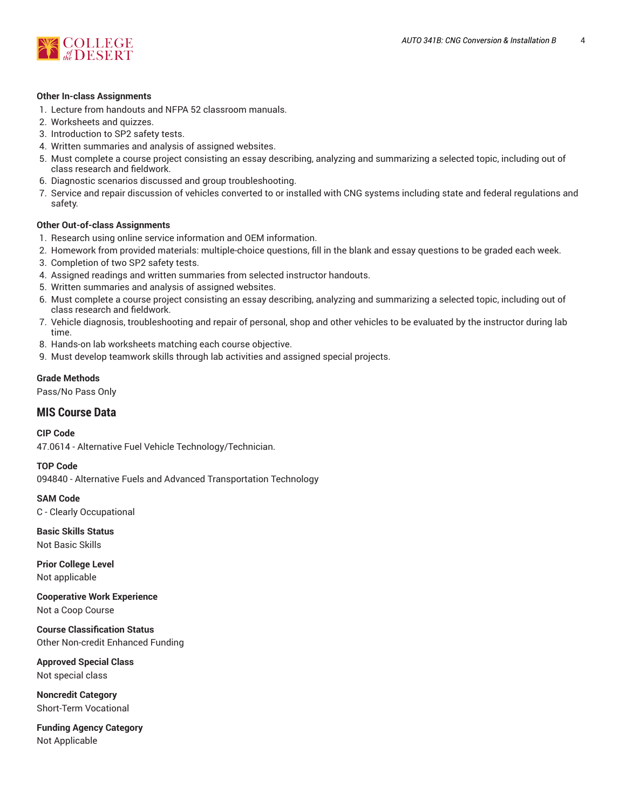

### **Other In-class Assignments**

- 1. Lecture from handouts and NFPA 52 classroom manuals.
- 2. Worksheets and quizzes.
- 3. Introduction to SP2 safety tests.
- 4. Written summaries and analysis of assigned websites.
- 5. Must complete a course project consisting an essay describing, analyzing and summarizing a selected topic, including out of class research and fieldwork.
- 6. Diagnostic scenarios discussed and group troubleshooting.
- 7. Service and repair discussion of vehicles converted to or installed with CNG systems including state and federal regulations and safety.

## **Other Out-of-class Assignments**

- 1. Research using online service information and OEM information.
- 2. Homework from provided materials: multiple-choice questions, fill in the blank and essay questions to be graded each week.
- 3. Completion of two SP2 safety tests.
- 4. Assigned readings and written summaries from selected instructor handouts.
- 5. Written summaries and analysis of assigned websites.
- 6. Must complete a course project consisting an essay describing, analyzing and summarizing a selected topic, including out of class research and fieldwork.
- 7. Vehicle diagnosis, troubleshooting and repair of personal, shop and other vehicles to be evaluated by the instructor during lab time.
- 8. Hands-on lab worksheets matching each course objective.
- 9. Must develop teamwork skills through lab activities and assigned special projects.

## **Grade Methods**

Pass/No Pass Only

# **MIS Course Data**

**CIP Code**

47.0614 - Alternative Fuel Vehicle Technology/Technician.

### **TOP Code**

094840 - Alternative Fuels and Advanced Transportation Technology

**SAM Code**

C - Clearly Occupational

**Basic Skills Status** Not Basic Skills

**Prior College Level** Not applicable

**Cooperative Work Experience** Not a Coop Course

**Course Classification Status** Other Non-credit Enhanced Funding

**Approved Special Class** Not special class

**Noncredit Category** Short-Term Vocational

**Funding Agency Category** Not Applicable